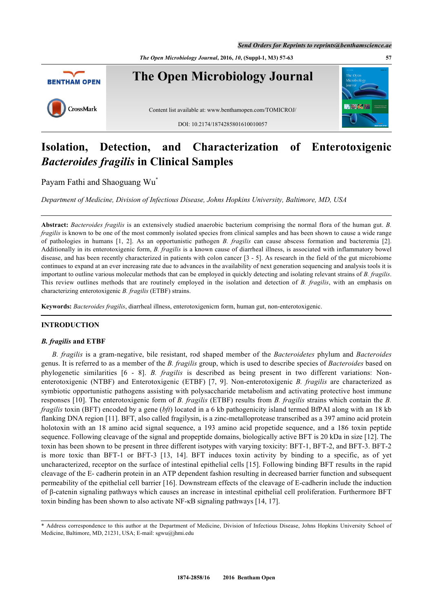*The Open Microbiology Journal***, 2016,** *10***, (Suppl-1, M3) 57-63 57**



# **Isolation, Detection, and Characterization of Enterotoxigenic** *Bacteroides fragilis* **in Clinical Samples**

Payam Fathi and Shaoguang Wu[\\*](#page-0-0)

*Department of Medicine, Division of Infectious Disease, Johns Hopkins University, Baltimore, MD, USA*

**Abstract:** *Bacteroides fragilis* is an extensively studied anaerobic bacterium comprising the normal flora of the human gut. *B. fragilis* is known to be one of the most commonly isolated species from clinical samples and has been shown to cause a wide range of pathologies in humans [1, 2]. As an opportunistic pathogen *B. fragilis* can cause abscess formation and bacteremia [2]. Additionally in its enterotoxigenic form, *B. fragilis* is a known cause of diarrheal illness, is associated with inflammatory bowel disease, and has been recently characterized in patients with colon cancer [3 - 5]. As research in the field of the gut microbiome continues to expand at an ever increasing rate due to advances in the availability of next generation sequencing and analysis tools it is important to outline various molecular methods that can be employed in quickly detecting and isolating relevant strains of *B. fragilis*. This review outlines methods that are routinely employed in the isolation and detection of *B. fragilis*, with an emphasis on characterizing enterotoxigenic *B. fragilis* (ETBF) strains.

**Keywords:** *Bacteroides fragilis*, diarrheal illness, enterotoxigenicm form, human gut, non-enterotoxigenic.

# **INTRODUCTION**

## *B. fragilis* **and ETBF**

*B. fragilis* is a gram-negative, bile resistant, rod shaped member of the *Bacteroidetes* phylum and *Bacteroides* genus. It is referred to as a member of the *B. fragilis* group, which is used to describe species of *Bacteroides* based on phylogenetic similarities [\[6](#page-4-0) - [8](#page-4-1)]. *B. fragilis* is described as being present in two different variations: Nonenterotoxigenic (NTBF) and Enterotoxigenic (ETBF) [\[7](#page-4-2), [9\]](#page-4-3). Non-enterotoxigenic *B. fragilis* are characterized as symbiotic opportunistic pathogens assisting with polysaccharide metabolism and activating protective host immune responses [\[10](#page-4-4)]. The enterotoxigenic form of *B. fragilis* (ETBF) results from *B. fragilis* strains which contain the *B. fragilis* toxin (BFT) encoded by a gene (*bft*) located in a 6 kb pathogenicity island termed BfPAI along with an 18 kb flanking DNA region [\[11](#page-4-5)]. BFT, also called fragilysin, is a zinc-metalloprotease transcribed as a 397 amino acid protein holotoxin with an 18 amino acid signal sequence, a 193 amino acid propetide sequence, and a 186 toxin peptide sequence. Following cleavage of the signal and propeptide domains, biologically active BFT is 20 kDa in size [[12\]](#page-4-6). The toxin has been shown to be present in three different isotypes with varying toxicity: BFT-1, BFT-2, and BFT-3. BFT-2 is more toxic than BFT-1 or BFT-3 [\[13](#page-4-7), [14](#page-5-0)]. BFT induces toxin activity by binding to a specific, as of yet uncharacterized, receptor on the surface of intestinal epithelial cells [\[15](#page-5-1)]. Following binding BFT results in the rapid cleavage of the E- cadherin protein in an ATP dependent fashion resulting in decreased barrier function and subsequent permeability of the epithelial cell barrier [[16\]](#page-5-2). Downstream effects of the cleavage of E-cadherin include the induction of β-catenin signaling pathways which causes an increase in intestinal epithelial cell proliferation. Furthermore BFT toxin binding has been shown to also activate NF-κB signaling pathways [\[14](#page-5-0), [17](#page-5-3)].

<span id="page-0-0"></span><sup>\*</sup> Address correspondence to this author at the Department of Medicine, Division of Infectious Disease, Johns Hopkins University School of Medicine, Baltimore, MD, 21231, USA; E-mail: [sgwu@jhmi.edu](mailto:sgwu@jhmi.edu)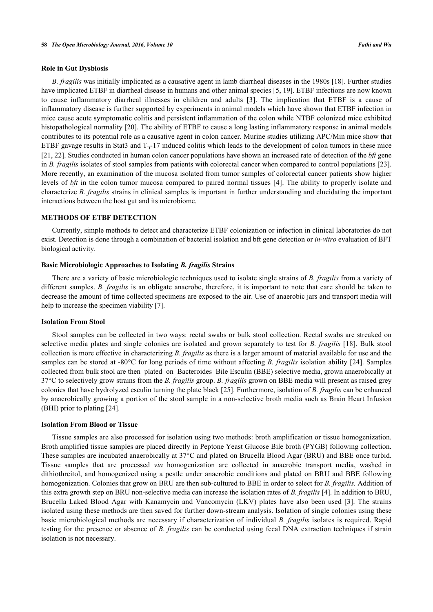#### **Role in Gut Dysbiosis**

*B. fragilis* was initially implicated as a causative agent in lamb diarrheal diseases in the 1980s [\[18\]](#page-5-4). Further studies have implicated ETBF in diarrheal disease in humans and other animal species [\[5](#page-4-8), [19](#page-5-5)]. ETBF infections are now known to cause inflammatory diarrheal illnesses in children and adults[[3\]](#page-4-9). The implication that ETBF is a cause of inflammatory disease is further supported by experiments in animal models which have shown that ETBF infection in mice cause acute symptomatic colitis and persistent inflammation of the colon while NTBF colonized mice exhibited histopathological normality [[20\]](#page-5-6). The ability of ETBF to cause a long lasting inflammatory response in animal models contributes to its potential role as a causative agent in colon cancer. Murine studies utilizing APC/Min mice show that ETBF gavage results in Stat3 and  $T_H$ -17 induced colitis which leads to the development of colon tumors in these mice [\[21](#page-5-7), [22](#page-5-8)]. Studies conducted in human colon cancer populations have shown an increased rate of detection of the *bft* gene in *B. fragilis* isolates of stool samples from patients with colorectal cancer when compared to control populations [[23\]](#page-5-9). More recently, an examination of the mucosa isolated from tumor samples of colorectal cancer patients show higher levels of *bft* in the colon tumor mucosa compared to paired normal tissues [\[4\]](#page-4-10). The ability to properly isolate and characterize *B. fragilis* strains in clinical samples is important in further understanding and elucidating the important interactions between the host gut and its microbiome.

## **METHODS OF ETBF DETECTION**

Currently, simple methods to detect and characterize ETBF colonization or infection in clinical laboratories do not exist. Detection is done through a combination of bacterial isolation and bft gene detection or *in-vitro* evaluation of BFT biological activity.

#### **Basic Microbiologic Approaches to Isolating** *B. fragilis* **Strains**

There are a variety of basic microbiologic techniques used to isolate single strains of *B. fragilis* from a variety of different samples. *B. fragilis* is an obligate anaerobe, therefore, it is important to note that care should be taken to decrease the amount of time collected specimens are exposed to the air. Use of anaerobic jars and transport media will help to increase the specimen viability [\[7](#page-4-2)].

#### **Isolation From Stool**

Stool samples can be collected in two ways: rectal swabs or bulk stool collection. Rectal swabs are streaked on selective media plates and single colonies are isolated and grown separately to test for *B. fragilis* [\[18\]](#page-5-4). Bulk stool collection is more effective in characterizing *B. fragilis* as there is a larger amount of material available for use and the samples can be stored at -80°C for long periods of time without affecting *B. fragilis* isolation ability [[24\]](#page-5-10). Samples collected from bulk stool are then plated on Bacteroides Bile Esculin (BBE) selective media, grown anaerobically at 37°C to selectively grow strains from the *B. fragilis* group. *B. fragilis* grown on BBE media will present as raised grey colonies that have hydrolyzed esculin turning the plate black [\[25](#page-5-11)]. Furthermore, isolation of *B. fragilis* can be enhanced by anaerobically growing a portion of the stool sample in a non-selective broth media such as Brain Heart Infusion (BHI) prior to plating [[24\]](#page-5-10).

### **Isolation From Blood or Tissue**

Tissue samples are also processed for isolation using two methods: broth amplification or tissue homogenization. Broth amplified tissue samples are placed directly in Peptone Yeast Glucose Bile broth (PYGB) following collection. These samples are incubated anaerobically at 37°C and plated on Brucella Blood Agar (BRU) and BBE once turbid. Tissue samples that are processed *via* homogenization are collected in anaerobic transport media, washed in dithiothreitol, and homogenized using a pestle under anaerobic conditions and plated on BRU and BBE following homogenization. Colonies that grow on BRU are then sub-cultured to BBE in order to select for *B. fragilis.* Addition of this extra growth step on BRU non-selective media can increase the isolation rates of *B. fragilis* [[4\]](#page-4-10). In addition to BRU, Brucella Laked Blood Agar with Kanamycin and Vancomycin (LKV) plates have also been used [\[3](#page-4-9)]. The strains isolated using these methods are then saved for further down-stream analysis. Isolation of single colonies using these basic microbiological methods are necessary if characterization of individual *B. fragilis* isolates is required. Rapid testing for the presence or absence of *B. fragilis* can be conducted using fecal DNA extraction techniques if strain isolation is not necessary.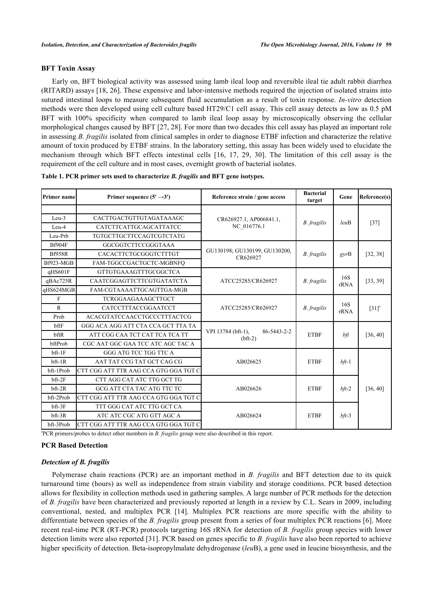## **BFT Toxin Assay**

Early on, BFT biological activity was assessed using lamb ileal loop and reversible ileal tie adult rabbit diarrhea (RITARD) assays [[18,](#page-5-4) [26](#page-5-12)]. These expensive and labor-intensive methods required the injection of isolated strains into sutured intestinal loops to measure subsequent fluid accumulation as a result of toxin response. *In-vitro* detection methods were then developed using cell culture based HT29/C1 cell assay. This cell assay detects as low as 0.5 pM BFT with 100% specificity when compared to lamb ileal loop assay by microscopically observing the cellular morphological changes caused by BFT [[27,](#page-5-13) [28](#page-5-14)]. For more than two decades this cell assay has played an important role in assessing *B. fragilis* isolated from clinical samples in order to diagnose ETBF infection and characterize the relative amount of toxin produced by ETBF strains. In the laboratory setting, this assay has been widely used to elucidate the mechanism through which BFT effects intestinal cells[[16](#page-5-2), [17,](#page-5-3) [29,](#page-5-15) [30](#page-5-16)]. The limitation of this cell assay is the requirement of the cell culture and in most cases, overnight growth of bacterial isolates.

| Primer name                      | Primer sequence $(5' \rightarrow 3')$                                                                     | Reference strain / gene access                 | <b>Bacterial</b><br>target | Gene        | Reference(s)        |
|----------------------------------|-----------------------------------------------------------------------------------------------------------|------------------------------------------------|----------------------------|-------------|---------------------|
| $Leu-3$<br>Leu-4                 | CACTTGACTGTTGTAGATAAAGC<br>CATCTTCATTGCAGCATTATCC                                                         | CR626927.1, AP006841.1,<br>NC_016776.1         | <b>B.</b> fragilis         | leuB        | $[37]$              |
| Leu-Prb<br><b>Bf904F</b>         | TGTGCTTGCTTCCAGTCGTCTATG                                                                                  |                                                |                            |             |                     |
| <b>Bf958R</b><br>Bf923-MGB       | GGCGGTCTTCCGGGTAAA<br>CACACTTCTGCGGGTCTTTGT<br>FAM-TGGCCGACTGCTC-MGBNFO                                   | GU130198; GU130199; GU130200,<br>CR626927      | <b>B.</b> fragilis         | gyrB        | [32, 38]            |
| qHS601F<br>qBAc725R<br>qHS624MGB | <b>GTTGTGAAAGTTTGCGGCTCA</b><br>CAATCGGAGTTCTTCGTGATATCTA<br>FAM-CGTAAAATTGCAGTTGA-MGB                    | ATCC25285/CR626927                             | <b>B.</b> fragilis         | 16S<br>rRNA | [33, 39]            |
| F<br>$\mathbf R$<br>Prob         | <b>TCRGGAAGAAAGCTTGCT</b><br>CATCCTTTACCGGAATCCT<br><b>ACACGTATCCAACCTGCCCTTTACTCG</b>                    | ATCC25285/CR626927                             | <b>B.</b> fragilis         | 16S<br>rRNA | $[31]$ <sup>a</sup> |
| bftF<br>bftR<br>bftProb          | GGG ACA AGG ATT CTA CCA GCT TTA TA<br>ATT CGG CAA TCT CAT TCA TCA TT<br>CGC AAT GGC GAA TCC ATC AGC TAC A | VPI 13784 (bft-1),<br>86-5443-2-2<br>$(bft-2)$ | <b>ETBF</b>                | bft         | [36, 40]            |
| $bf-1F$<br>$bf-1R$<br>bft-1Prob  | GGG ATG TCC TGG TTC A<br>AAT TAT CCG TAT GCT CAG CG<br>CTT CGG ATT TTR AAG CCA GTG GGA TGT C              | AB026625                                       | <b>ETBF</b>                | $bf-1$      |                     |
| $bf-2F$<br>$bf-2R$<br>bft-2Prob  | CTT AGG CAT ATC TTG GCT TG<br>GCG ATT CTA TAC ATG TTC TC<br>CTT CGG ATT TTR AAG CCA GTG GGA TGT C         | AB026626                                       | <b>ETBF</b>                | $bft-2$     | [36, 40]            |
| bft-3F<br>$bf-3R$<br>bft-3Prob   | TTT GGG CAT ATC TTG GCT CA<br>ATC ATC CGC ATG GTT AGC A<br>CTT CGG ATT TTR AAG CCA GTG GGA TGT C          | AB026624                                       | <b>ETBF</b>                | $bf-3$      |                     |

<span id="page-2-0"></span>**Table 1. PCR primer sets used to characterize** *B. fragilis* **and BFT gene isotypes.**

a PCR primers/probes to detect other members in *B. fragilis* group were also described in this report.

#### **PCR Based Detection**

#### *Detection of B. fragilis*

Polymerase chain reactions (PCR) are an important method in *B. fragilis* and BFT detection due to its quick turnaround time (hours) as well as independence from strain viability and storage conditions. PCR based detection allows for flexibility in collection methods used in gathering samples. A large number of PCR methods for the detection of *B. fragilis* have been characterized and previously reported at length in a review by C.L. Sears in 2009, including conventional, nested, and multiplex PCR[[14\]](#page-5-0). Multiplex PCR reactions are more specific with the ability to differentiate between species of the *B. fragilis* group present from a series of four multiplex PCR reactions [[6\]](#page-4-0). More recent real-time PCR (RT-PCR) protocols targeting 16S rRNA for detection of *B. fragilis* group species with lower detection limits were also reported [[31](#page-5-18)]. PCR based on genes specific to *B. fragilis* have also been reported to achieve higher specificity of detection. Beta-isopropylmalate dehydrogenase (*leu*B), a gene used in leucine biosynthesis, and the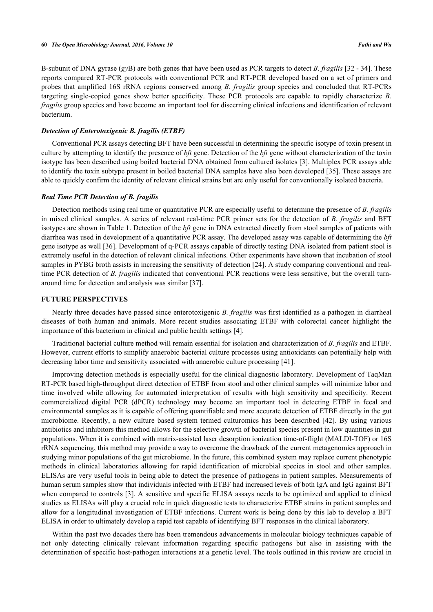B-subunit of DNA gyrase (*gy*B) are both genes that have been used as PCR targets to detect *B. fragilis* [\[32](#page-5-17) - [34](#page-6-6)]. These reports compared RT-PCR protocols with conventional PCR and RT-PCR developed based on a set of primers and probes that amplified 16S rRNA regions conserved among *B. fragilis* group species and concluded that RT-PCRs targeting single-copied genes show better specificity. These PCR protocols are capable to rapidly characterize *B. fragilis* group species and have become an important tool for discerning clinical infections and identification of relevant bacterium.

## *Detection of Enterotoxigenic B. fragilis (ETBF)*

Conventional PCR assays detecting BFT have been successful in determining the specific isotype of toxin present in culture by attempting to identify the presence of *bft* gene. Detection of the *bft* gene without characterization of the toxin isotype has been described using boiled bacterial DNA obtained from cultured isolates [\[3](#page-4-9)]. Multiplex PCR assays able to identify the toxin subtype present in boiled bacterial DNA samples have also been developed [\[35](#page-6-7)]. These assays are able to quickly confirm the identity of relevant clinical strains but are only useful for conventionally isolated bacteria.

### *Real Time PCR Detection of B. fragilis*

Detection methods using real time or quantitative PCR are especially useful to determine the presence of *B. fragilis* in mixed clinical samples. A series of relevant real-time PCR primer sets for the detection of *B. fragilis* and BFT isotypes are shown in Table **[1](#page-2-0)**. Detection of the *bft* gene in DNA extracted directly from stool samples of patients with diarrhea was used in development of a quantitative PCR assay. The developed assay was capable of determining the *bft* gene isotype as well [[36\]](#page-6-4). Development of q-PCR assays capable of directly testing DNA isolated from patient stool is extremely useful in the detection of relevant clinical infections. Other experiments have shown that incubation of stool samples in PYBG broth assists in increasing the sensitivity of detection [\[24](#page-5-10)]. A study comparing conventional and realtime PCR detection of *B. fragilis* indicated that conventional PCR reactions were less sensitive, but the overall turnaround time for detection and analysis was similar [[37\]](#page-6-0).

#### **FUTURE PERSPECTIVES**

Nearly three decades have passed since enterotoxigenic *B. fragilis* was first identified as a pathogen in diarrheal diseases of both human and animals. More recent studies associating ETBF with colorectal cancer highlight the importance of this bacterium in clinical and public health settings [\[4](#page-4-10)].

Traditional bacterial culture method will remain essential for isolation and characterization of *B. fragilis* and ETBF. However, current efforts to simplify anaerobic bacterial culture processes using antioxidants can potentially help with decreasing labor time and sensitivity associated with anaerobic culture processing [[41\]](#page-6-8).

Improving detection methods is especially useful for the clinical diagnostic laboratory. Development of TaqMan RT-PCR based high-throughput direct detection of ETBF from stool and other clinical samples will minimize labor and time involved while allowing for automated interpretation of results with high sensitivity and specificity. Recent commercialized digital PCR (dPCR) technology may become an important tool in detecting ETBF in fecal and environmental samples as it is capable of offering quantifiable and more accurate detection of ETBF directly in the gut microbiome. Recently, a new culture based system termed culturomics has been described [[42](#page-6-9)]. By using various antibiotics and inhibitors this method allows for the selective growth of bacterial species present in low quantities in gut populations. When it is combined with matrix-assisted laser desorption ionization time-of-flight (MALDI-TOF) or 16S rRNA sequencing, this method may provide a way to overcome the drawback of the current metagenomics approach in studying minor populations of the gut microbiome. In the future, this combined system may replace current phenotypic methods in clinical laboratories allowing for rapid identification of microbial species in stool and other samples. ELISAs are very useful tools in being able to detect the presence of pathogens in patient samples. Measurements of human serum samples show that individuals infected with ETBF had increased levels of both IgA and IgG against BFT when compared to controls [[3\]](#page-4-9). A sensitive and specific ELISA assays needs to be optimized and applied to clinical studies as ELISAs will play a crucial role in quick diagnostic tests to characterize ETBF strains in patient samples and allow for a longitudinal investigation of ETBF infections. Current work is being done by this lab to develop a BFT ELISA in order to ultimately develop a rapid test capable of identifying BFT responses in the clinical laboratory.

Within the past two decades there has been tremendous advancements in molecular biology techniques capable of not only detecting clinically relevant information regarding specific pathogens but also in assisting with the determination of specific host-pathogen interactions at a genetic level. The tools outlined in this review are crucial in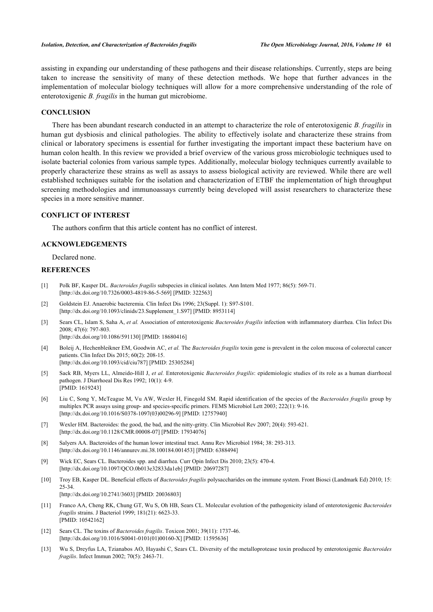assisting in expanding our understanding of these pathogens and their disease relationships. Currently, steps are being taken to increase the sensitivity of many of these detection methods. We hope that further advances in the implementation of molecular biology techniques will allow for a more comprehensive understanding of the role of enterotoxigenic *B. fragilis* in the human gut microbiome.

## **CONCLUSION**

There has been abundant research conducted in an attempt to characterize the role of enterotoxigenic *B. fragilis* in human gut dysbiosis and clinical pathologies. The ability to effectively isolate and characterize these strains from clinical or laboratory specimens is essential for further investigating the important impact these bacterium have on human colon health. In this review we provided a brief overview of the various gross microbiologic techniques used to isolate bacterial colonies from various sample types. Additionally, molecular biology techniques currently available to properly characterize these strains as well as assays to assess biological activity are reviewed. While there are well established techniques suitable for the isolation and characterization of ETBF the implementation of high throughput screening methodologies and immunoassays currently being developed will assist researchers to characterize these species in a more sensitive manner.

## **CONFLICT OF INTEREST**

The authors confirm that this article content has no conflict of interest.

#### **ACKNOWLEDGEMENTS**

Declared none.

# **REFERENCES**

- [1] Polk BF, Kasper DL. *Bacteroides fragilis* subspecies in clinical isolates. Ann Intern Med 1977; 86(5): 569-71. [\[http://dx.doi.org/10.7326/0003-4819-86-5-569](http://dx.doi.org/10.7326/0003-4819-86-5-569)] [PMID: [322563](http://www.ncbi.nlm.nih.gov/pubmed/322563)]
- [2] Goldstein EJ. Anaerobic bacteremia. Clin Infect Dis 1996; 23(Suppl. 1): S97-S101. [\[http://dx.doi.org/10.1093/clinids/23.Supplement\\_1.S97](http://dx.doi.org/10.1093/clinids/23.Supplement_1.S97)] [PMID: [8953114\]](http://www.ncbi.nlm.nih.gov/pubmed/8953114)
- <span id="page-4-9"></span>[3] Sears CL, Islam S, Saha A, *et al.* Association of enterotoxigenic *Bacteroides fragilis* infection with inflammatory diarrhea. Clin Infect Dis 2008; 47(6): 797-803. [\[http://dx.doi.org/10.1086/591130\]](http://dx.doi.org/10.1086/591130) [PMID: [18680416](http://www.ncbi.nlm.nih.gov/pubmed/18680416)]
- <span id="page-4-10"></span>[4] Boleij A, Hechenbleikner EM, Goodwin AC, *et al.* The *Bacteroides fragilis* toxin gene is prevalent in the colon mucosa of colorectal cancer patients. Clin Infect Dis 2015; 60(2): 208-15.
	- [\[http://dx.doi.org/10.1093/cid/ciu787\]](http://dx.doi.org/10.1093/cid/ciu787) [PMID: [25305284](http://www.ncbi.nlm.nih.gov/pubmed/25305284)]
- <span id="page-4-8"></span>[5] Sack RB, Myers LL, Almeido-Hill J, *et al.* Enterotoxigenic *Bacteroides fragilis*: epidemiologic studies of its role as a human diarrhoeal pathogen. J Diarrhoeal Dis Res 1992; 10(1): 4-9. [PMID: [1619243\]](http://www.ncbi.nlm.nih.gov/pubmed/1619243)
- <span id="page-4-0"></span>[6] Liu C, Song Y, McTeague M, Vu AW, Wexler H, Finegold SM. Rapid identification of the species of the *Bacteroides fragilis* group by multiplex PCR assays using group- and species-specific primers. FEMS Microbiol Lett 2003; 222(1): 9-16. [\[http://dx.doi.org/10.1016/S0378-1097\(03\)00296-9\]](http://dx.doi.org/10.1016/S0378-1097(03)00296-9) [PMID: [12757940](http://www.ncbi.nlm.nih.gov/pubmed/12757940)]
- <span id="page-4-2"></span>[7] Wexler HM. Bacteroides: the good, the bad, and the nitty-gritty. Clin Microbiol Rev 2007; 20(4): 593-621. [\[http://dx.doi.org/10.1128/CMR.00008-07](http://dx.doi.org/10.1128/CMR.00008-07)] [PMID: [17934076\]](http://www.ncbi.nlm.nih.gov/pubmed/17934076)
- <span id="page-4-1"></span>[8] Salyers AA. Bacteroides of the human lower intestinal tract. Annu Rev Microbiol 1984; 38: 293-313. [\[http://dx.doi.org/10.1146/annurev.mi.38.100184.001453](http://dx.doi.org/10.1146/annurev.mi.38.100184.001453)] [PMID: [6388494\]](http://www.ncbi.nlm.nih.gov/pubmed/6388494)
- <span id="page-4-3"></span>[9] Wick EC, Sears CL. Bacteroides spp. and diarrhea. Curr Opin Infect Dis 2010; 23(5): 470-4. [\[http://dx.doi.org/10.1097/QCO.0b013e32833da1eb](http://dx.doi.org/10.1097/QCO.0b013e32833da1eb)] [PMID: [20697287\]](http://www.ncbi.nlm.nih.gov/pubmed/20697287)
- <span id="page-4-4"></span>[10] Troy EB, Kasper DL. Beneficial effects of *Bacteroides fragilis* polysaccharides on the immune system. Front Biosci (Landmark Ed) 2010; 15: 25-34. [\[http://dx.doi.org/10.2741/3603\]](http://dx.doi.org/10.2741/3603) [PMID: [20036803](http://www.ncbi.nlm.nih.gov/pubmed/20036803)]
- <span id="page-4-5"></span>[11] Franco AA, Cheng RK, Chung GT, Wu S, Oh HB, Sears CL. Molecular evolution of the pathogenicity island of enterotoxigenic *Bacteroides fragilis* strains. J Bacteriol 1999; 181(21): 6623-33. [PMID: [10542162\]](http://www.ncbi.nlm.nih.gov/pubmed/10542162)
- <span id="page-4-6"></span>[12] Sears CL. The toxins of *Bacteroides fragilis*. Toxicon 2001; 39(11): 1737-46. [\[http://dx.doi.org/10.1016/S0041-0101\(01\)00160-X\]](http://dx.doi.org/10.1016/S0041-0101(01)00160-X) [PMID: [11595636](http://www.ncbi.nlm.nih.gov/pubmed/11595636)]
- <span id="page-4-7"></span>[13] Wu S, Dreyfus LA, Tzianabos AO, Hayashi C, Sears CL. Diversity of the metalloprotease toxin produced by enterotoxigenic *Bacteroides fragilis*. Infect Immun 2002; 70(5): 2463-71.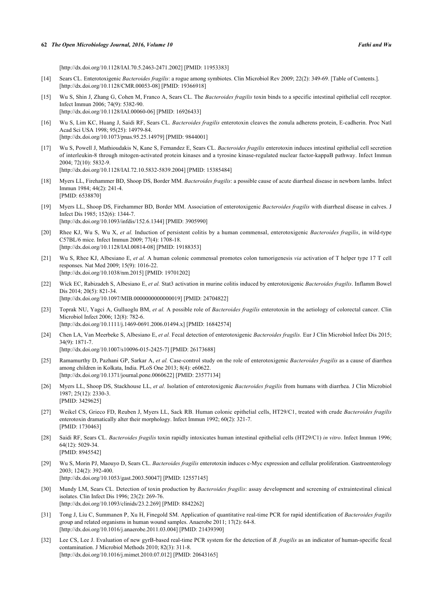#### **62** *The Open Microbiology Journal, 2016, Volume 10 Fathi and Wu*

[\[http://dx.doi.org/10.1128/IAI.70.5.2463-2471.2002\]](http://dx.doi.org/10.1128/IAI.70.5.2463-2471.2002) [PMID: [11953383](http://www.ncbi.nlm.nih.gov/pubmed/11953383)]

- <span id="page-5-0"></span>[14] Sears CL. Enterotoxigenic *Bacteroides fragilis*: a rogue among symbiotes. Clin Microbiol Rev 2009; 22(2): 349-69. [Table of Contents.]. [\[http://dx.doi.org/10.1128/CMR.00053-08](http://dx.doi.org/10.1128/CMR.00053-08)] [PMID: [19366918\]](http://www.ncbi.nlm.nih.gov/pubmed/19366918)
- <span id="page-5-1"></span>[15] Wu S, Shin J, Zhang G, Cohen M, Franco A, Sears CL. The *Bacteroides fragilis* toxin binds to a specific intestinal epithelial cell receptor. Infect Immun 2006; 74(9): 5382-90. [\[http://dx.doi.org/10.1128/IAI.00060-06\]](http://dx.doi.org/10.1128/IAI.00060-06) [PMID: [16926433](http://www.ncbi.nlm.nih.gov/pubmed/16926433)]
- <span id="page-5-2"></span>[16] Wu S, Lim KC, Huang J, Saidi RF, Sears CL. *Bacteroides fragilis* enterotoxin cleaves the zonula adherens protein, E-cadherin. Proc Natl Acad Sci USA 1998; 95(25): 14979-84. [\[http://dx.doi.org/10.1073/pnas.95.25.14979](http://dx.doi.org/10.1073/pnas.95.25.14979)] [PMID: [9844001](http://www.ncbi.nlm.nih.gov/pubmed/9844001)]
- <span id="page-5-3"></span>[17] Wu S, Powell J, Mathioudakis N, Kane S, Fernandez E, Sears CL. *Bacteroides fragilis* enterotoxin induces intestinal epithelial cell secretion of interleukin-8 through mitogen-activated protein kinases and a tyrosine kinase-regulated nuclear factor-kappaB pathway. Infect Immun 2004; 72(10): 5832-9. [\[http://dx.doi.org/10.1128/IAI.72.10.5832-5839.2004\]](http://dx.doi.org/10.1128/IAI.72.10.5832-5839.2004) [PMID: [15385484](http://www.ncbi.nlm.nih.gov/pubmed/15385484)]
- <span id="page-5-4"></span>[18] Myers LL, Firehammer BD, Shoop DS, Border MM. *Bacteroides fragilis*: a possible cause of acute diarrheal disease in newborn lambs. Infect Immun 1984; 44(2): 241-4. [PMID: [6538870\]](http://www.ncbi.nlm.nih.gov/pubmed/6538870)
- <span id="page-5-5"></span>[19] Myers LL, Shoop DS, Firehammer BD, Border MM. Association of enterotoxigenic *Bacteroides fragilis* with diarrheal disease in calves. J Infect Dis 1985; 152(6): 1344-7. [\[http://dx.doi.org/10.1093/infdis/152.6.1344](http://dx.doi.org/10.1093/infdis/152.6.1344)] [PMID: [3905990\]](http://www.ncbi.nlm.nih.gov/pubmed/3905990)
- <span id="page-5-6"></span>[20] Rhee KJ, Wu S, Wu X, *et al.* Induction of persistent colitis by a human commensal, enterotoxigenic *Bacteroides fragilis*, in wild-type C57BL/6 mice. Infect Immun 2009; 77(4): 1708-18. [\[http://dx.doi.org/10.1128/IAI.00814-08\]](http://dx.doi.org/10.1128/IAI.00814-08) [PMID: [19188353](http://www.ncbi.nlm.nih.gov/pubmed/19188353)]
- <span id="page-5-7"></span>[21] Wu S, Rhee KJ, Albesiano E, *et al.* A human colonic commensal promotes colon tumorigenesis *via* activation of T helper type 17 T cell responses. Nat Med 2009; 15(9): 1016-22. [\[http://dx.doi.org/10.1038/nm.2015](http://dx.doi.org/10.1038/nm.2015)] [PMID: [19701202\]](http://www.ncbi.nlm.nih.gov/pubmed/19701202)
- <span id="page-5-8"></span>[22] Wick EC, Rabizadeh S, Albesiano E, *et al.* Stat3 activation in murine colitis induced by enterotoxigenic *Bacteroides fragilis*. Inflamm Bowel Dis 2014; 20(5): 821-34. [\[http://dx.doi.org/10.1097/MIB.0000000000000019\]](http://dx.doi.org/10.1097/MIB.0000000000000019) [PMID: [24704822](http://www.ncbi.nlm.nih.gov/pubmed/24704822)]
- <span id="page-5-9"></span>[23] Toprak NU, Yagci A, Gulluoglu BM, *et al.* A possible role of *Bacteroides fragilis* enterotoxin in the aetiology of colorectal cancer. Clin Microbiol Infect 2006; 12(8): 782-6. [\[http://dx.doi.org/10.1111/j.1469-0691.2006.01494.x\]](http://dx.doi.org/10.1111/j.1469-0691.2006.01494.x) [PMID: [16842574](http://www.ncbi.nlm.nih.gov/pubmed/16842574)]
- <span id="page-5-10"></span>[24] Chen LA, Van Meerbeke S, Albesiano E, *et al.* Fecal detection of enterotoxigenic *Bacteroides fragilis.* Eur J Clin Microbiol Infect Dis 2015; 34(9): 1871-7. [\[http://dx.doi.org/10.1007/s10096-015-2425-7\]](http://dx.doi.org/10.1007/s10096-015-2425-7) [PMID: [26173688](http://www.ncbi.nlm.nih.gov/pubmed/26173688)]
- <span id="page-5-11"></span>[25] Ramamurthy D, Pazhani GP, Sarkar A, *et al.* Case-control study on the role of enterotoxigenic *Bacteroides fragilis* as a cause of diarrhea among children in Kolkata, India. PLoS One 2013; 8(4): e60622. [\[http://dx.doi.org/10.1371/journal.pone.0060622](http://dx.doi.org/10.1371/journal.pone.0060622)] [PMID: [23577134\]](http://www.ncbi.nlm.nih.gov/pubmed/23577134)
- <span id="page-5-12"></span>[26] Myers LL, Shoop DS, Stackhouse LL, *et al.* Isolation of enterotoxigenic *Bacteroides fragilis* from humans with diarrhea. J Clin Microbiol 1987; 25(12): 2330-3. [PMID: [3429625\]](http://www.ncbi.nlm.nih.gov/pubmed/3429625)
- <span id="page-5-13"></span>[27] Weikel CS, Grieco FD, Reuben J, Myers LL, Sack RB. Human colonic epithelial cells, HT29/C1, treated with crude *Bacteroides fragilis* enterotoxin dramatically alter their morphology. Infect Immun 1992; 60(2): 321-7. [PMID: [1730463\]](http://www.ncbi.nlm.nih.gov/pubmed/1730463)
- <span id="page-5-14"></span>[28] Saidi RF, Sears CL. *Bacteroides fragilis* toxin rapidly intoxicates human intestinal epithelial cells (HT29/C1) *in vitro*. Infect Immun 1996; 64(12): 5029-34. [PMID: [8945542\]](http://www.ncbi.nlm.nih.gov/pubmed/8945542)
- <span id="page-5-15"></span>[29] Wu S, Morin PJ, Maouyo D, Sears CL. *Bacteroides fragilis* enterotoxin induces c-Myc expression and cellular proliferation. Gastroenterology 2003; 124(2): 392-400. [\[http://dx.doi.org/10.1053/gast.2003.50047\]](http://dx.doi.org/10.1053/gast.2003.50047) [PMID: [12557145](http://www.ncbi.nlm.nih.gov/pubmed/12557145)]
- <span id="page-5-16"></span>[30] Mundy LM, Sears CL. Detection of toxin production by *Bacteroides fragilis*: assay development and screening of extraintestinal clinical isolates. Clin Infect Dis 1996; 23(2): 269-76. [\[http://dx.doi.org/10.1093/clinids/23.2.269](http://dx.doi.org/10.1093/clinids/23.2.269)] [PMID: [8842262\]](http://www.ncbi.nlm.nih.gov/pubmed/8842262)
- <span id="page-5-18"></span>[31] Tong J, Liu C, Summanen P, Xu H, Finegold SM. Application of quantitative real-time PCR for rapid identification of *Bacteroides fragilis* group and related organisms in human wound samples. Anaerobe 2011; 17(2): 64-8. [\[http://dx.doi.org/10.1016/j.anaerobe.2011.03.004\]](http://dx.doi.org/10.1016/j.anaerobe.2011.03.004) [PMID: [21439390](http://www.ncbi.nlm.nih.gov/pubmed/21439390)]
- <span id="page-5-17"></span>[32] Lee CS, Lee J. Evaluation of new gyrB-based real-time PCR system for the detection of *B. fragilis* as an indicator of human-specific fecal contamination. J Microbiol Methods 2010; 82(3): 311-8. [\[http://dx.doi.org/10.1016/j.mimet.2010.07.012](http://dx.doi.org/10.1016/j.mimet.2010.07.012)] [PMID: [20643165](http://www.ncbi.nlm.nih.gov/pubmed/20643165)]